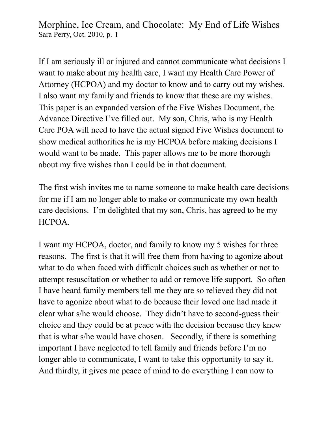If I am seriously ill or injured and cannot communicate what decisions I want to make about my health care, I want my Health Care Power of Attorney (HCPOA) and my doctor to know and to carry out my wishes. I also want my family and friends to know that these are my wishes. This paper is an expanded version of the Five Wishes Document, the Advance Directive I've filled out. My son, Chris, who is my Health Care POA will need to have the actual signed Five Wishes document to show medical authorities he is my HCPOA before making decisions I would want to be made. This paper allows me to be more thorough about my five wishes than I could be in that document.

The first wish invites me to name someone to make health care decisions for me if I am no longer able to make or communicate my own health care decisions. I'm delighted that my son, Chris, has agreed to be my HCPOA.

I want my HCPOA, doctor, and family to know my 5 wishes for three reasons. The first is that it will free them from having to agonize about what to do when faced with difficult choices such as whether or not to attempt resuscitation or whether to add or remove life support. So often I have heard family members tell me they are so relieved they did not have to agonize about what to do because their loved one had made it clear what s/he would choose. They didn't have to second-guess their choice and they could be at peace with the decision because they knew that is what s/he would have chosen. Secondly, if there is something important I have neglected to tell family and friends before I'm no longer able to communicate, I want to take this opportunity to say it. And thirdly, it gives me peace of mind to do everything I can now to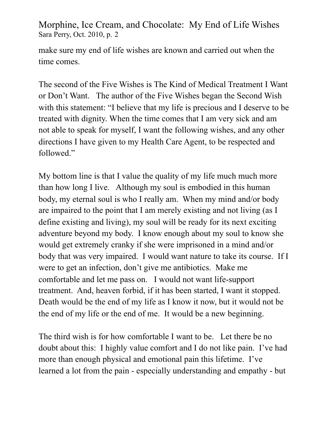make sure my end of life wishes are known and carried out when the time comes.

The second of the Five Wishes is The Kind of Medical Treatment I Want or Don't Want. The author of the Five Wishes began the Second Wish with this statement: "I believe that my life is precious and I deserve to be treated with dignity. When the time comes that I am very sick and am not able to speak for myself, I want the following wishes, and any other directions I have given to my Health Care Agent, to be respected and followed."

My bottom line is that I value the quality of my life much much more than how long I live. Although my soul is embodied in this human body, my eternal soul is who I really am. When my mind and/or body are impaired to the point that I am merely existing and not living (as I define existing and living), my soul will be ready for its next exciting adventure beyond my body. I know enough about my soul to know she would get extremely cranky if she were imprisoned in a mind and/or body that was very impaired. I would want nature to take its course. If I were to get an infection, don't give me antibiotics. Make me comfortable and let me pass on. I would not want life-support treatment. And, heaven forbid, if it has been started, I want it stopped. Death would be the end of my life as I know it now, but it would not be the end of my life or the end of me. It would be a new beginning.

The third wish is for how comfortable I want to be. Let there be no doubt about this: I highly value comfort and I do not like pain. I've had more than enough physical and emotional pain this lifetime. I've learned a lot from the pain - especially understanding and empathy - but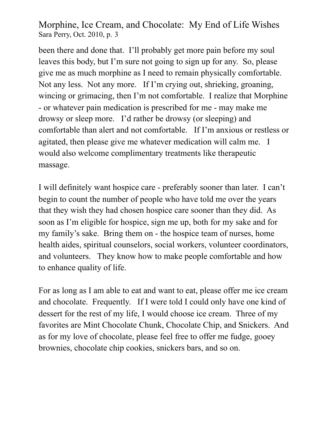been there and done that. I'll probably get more pain before my soul leaves this body, but I'm sure not going to sign up for any. So, please give me as much morphine as I need to remain physically comfortable. Not any less. Not any more. If I'm crying out, shrieking, groaning, wincing or grimacing, then I'm not comfortable. I realize that Morphine - or whatever pain medication is prescribed for me - may make me drowsy or sleep more. I'd rather be drowsy (or sleeping) and comfortable than alert and not comfortable. If I'm anxious or restless or agitated, then please give me whatever medication will calm me. I would also welcome complimentary treatments like therapeutic massage.

I will definitely want hospice care - preferably sooner than later. I can't begin to count the number of people who have told me over the years that they wish they had chosen hospice care sooner than they did. As soon as I'm eligible for hospice, sign me up, both for my sake and for my family's sake. Bring them on - the hospice team of nurses, home health aides, spiritual counselors, social workers, volunteer coordinators, and volunteers. They know how to make people comfortable and how to enhance quality of life.

For as long as I am able to eat and want to eat, please offer me ice cream and chocolate. Frequently. If I were told I could only have one kind of dessert for the rest of my life, I would choose ice cream. Three of my favorites are Mint Chocolate Chunk, Chocolate Chip, and Snickers. And as for my love of chocolate, please feel free to offer me fudge, gooey brownies, chocolate chip cookies, snickers bars, and so on.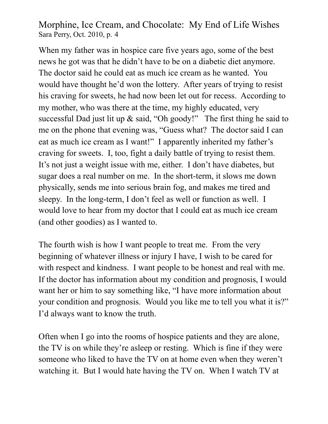When my father was in hospice care five years ago, some of the best news he got was that he didn't have to be on a diabetic diet anymore. The doctor said he could eat as much ice cream as he wanted. You would have thought he'd won the lottery. After years of trying to resist his craving for sweets, he had now been let out for recess. According to my mother, who was there at the time, my highly educated, very successful Dad just lit up & said, "Oh goody!" The first thing he said to me on the phone that evening was, "Guess what? The doctor said I can eat as much ice cream as I want!" I apparently inherited my father's craving for sweets. I, too, fight a daily battle of trying to resist them. It's not just a weight issue with me, either. I don't have diabetes, but sugar does a real number on me. In the short-term, it slows me down physically, sends me into serious brain fog, and makes me tired and sleepy. In the long-term, I don't feel as well or function as well. I would love to hear from my doctor that I could eat as much ice cream (and other goodies) as I wanted to.

The fourth wish is how I want people to treat me. From the very beginning of whatever illness or injury I have, I wish to be cared for with respect and kindness. I want people to be honest and real with me. If the doctor has information about my condition and prognosis, I would want her or him to say something like, "I have more information about your condition and prognosis. Would you like me to tell you what it is?" I'd always want to know the truth.

Often when I go into the rooms of hospice patients and they are alone, the TV is on while they're asleep or resting. Which is fine if they were someone who liked to have the TV on at home even when they weren't watching it. But I would hate having the TV on. When I watch TV at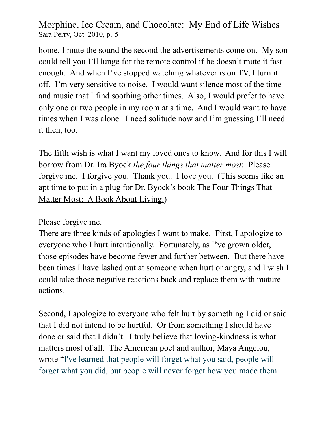home, I mute the sound the second the advertisements come on. My son could tell you I'll lunge for the remote control if he doesn't mute it fast enough. And when I've stopped watching whatever is on TV, I turn it off. I'm very sensitive to noise. I would want silence most of the time and music that I find soothing other times. Also, I would prefer to have only one or two people in my room at a time. And I would want to have times when I was alone. I need solitude now and I'm guessing I'll need it then, too.

The fifth wish is what I want my loved ones to know. And for this I will borrow from Dr. Ira Byock *the four things that matter most*: Please forgive me. I forgive you. Thank you. I love you. (This seems like an apt time to put in a plug for Dr. Byock's book The Four Things That Matter Most: A Book About Living.)

Please forgive me.

There are three kinds of apologies I want to make. First, I apologize to everyone who I hurt intentionally. Fortunately, as I've grown older, those episodes have become fewer and further between. But there have been times I have lashed out at someone when hurt or angry, and I wish I could take those negative reactions back and replace them with mature actions.

Second, I apologize to everyone who felt hurt by something I did or said that I did not intend to be hurtful. Or from something I should have done or said that I didn't. I truly believe that loving-kindness is what matters most of all. The American poet and author, Maya Angelou, wrote "[I've learned that people will forget what you said, people will](http://thinkexist.com/quotation/i-ve_learned_that_people_will_forget_what_you/341107.html)  [forget what you did, but people will never forget how you made them](http://thinkexist.com/quotation/i-ve_learned_that_people_will_forget_what_you/341107.html)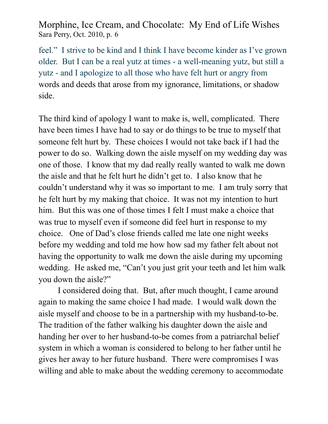[feel."](http://thinkexist.com/quotation/i-ve_learned_that_people_will_forget_what_you/341107.html) I strive to be kind and I think I have become kinder as I've grown older. But I can be a real yutz at times - a well-meaning yutz, but still a yutz - and I apologize to all those who have felt hurt or angry from words and deeds that arose from my ignorance, limitations, or shadow side.

The third kind of apology I want to make is, well, complicated. There have been times I have had to say or do things to be true to myself that someone felt hurt by. These choices I would not take back if I had the power to do so. Walking down the aisle myself on my wedding day was one of those. I know that my dad really really wanted to walk me down the aisle and that he felt hurt he didn't get to. I also know that he couldn't understand why it was so important to me. I am truly sorry that he felt hurt by my making that choice. It was not my intention to hurt him. But this was one of those times I felt I must make a choice that was true to myself even if someone did feel hurt in response to my choice. One of Dad's close friends called me late one night weeks before my wedding and told me how how sad my father felt about not having the opportunity to walk me down the aisle during my upcoming wedding. He asked me, "Can't you just grit your teeth and let him walk you down the aisle?"

 I considered doing that. But, after much thought, I came around again to making the same choice I had made. I would walk down the aisle myself and choose to be in a partnership with my husband-to-be. The tradition of the father walking his daughter down the aisle and handing her over to her husband-to-be comes from a patriarchal belief system in which a woman is considered to belong to her father until he gives her away to her future husband. There were compromises I was willing and able to make about the wedding ceremony to accommodate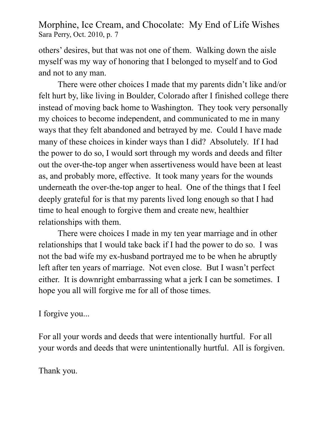others' desires, but that was not one of them. Walking down the aisle myself was my way of honoring that I belonged to myself and to God and not to any man.

 There were other choices I made that my parents didn't like and/or felt hurt by, like living in Boulder, Colorado after I finished college there instead of moving back home to Washington. They took very personally my choices to become independent, and communicated to me in many ways that they felt abandoned and betrayed by me. Could I have made many of these choices in kinder ways than I did? Absolutely. If I had the power to do so, I would sort through my words and deeds and filter out the over-the-top anger when assertiveness would have been at least as, and probably more, effective. It took many years for the wounds underneath the over-the-top anger to heal. One of the things that I feel deeply grateful for is that my parents lived long enough so that I had time to heal enough to forgive them and create new, healthier relationships with them.

 There were choices I made in my ten year marriage and in other relationships that I would take back if I had the power to do so. I was not the bad wife my ex-husband portrayed me to be when he abruptly left after ten years of marriage. Not even close. But I wasn't perfect either. It is downright embarrassing what a jerk I can be sometimes. I hope you all will forgive me for all of those times.

I forgive you...

For all your words and deeds that were intentionally hurtful. For all your words and deeds that were unintentionally hurtful. All is forgiven.

Thank you.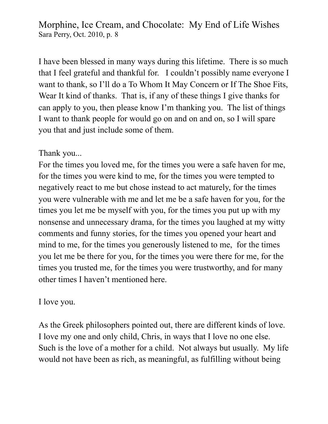I have been blessed in many ways during this lifetime. There is so much that I feel grateful and thankful for. I couldn't possibly name everyone I want to thank, so I'll do a To Whom It May Concern or If The Shoe Fits, Wear It kind of thanks. That is, if any of these things I give thanks for can apply to you, then please know I'm thanking you. The list of things I want to thank people for would go on and on and on, so I will spare you that and just include some of them.

## Thank you...

For the times you loved me, for the times you were a safe haven for me, for the times you were kind to me, for the times you were tempted to negatively react to me but chose instead to act maturely, for the times you were vulnerable with me and let me be a safe haven for you, for the times you let me be myself with you, for the times you put up with my nonsense and unnecessary drama, for the times you laughed at my witty comments and funny stories, for the times you opened your heart and mind to me, for the times you generously listened to me, for the times you let me be there for you, for the times you were there for me, for the times you trusted me, for the times you were trustworthy, and for many other times I haven't mentioned here.

## I love you.

As the Greek philosophers pointed out, there are different kinds of love. I love my one and only child, Chris, in ways that I love no one else. Such is the love of a mother for a child. Not always but usually. My life would not have been as rich, as meaningful, as fulfilling without being